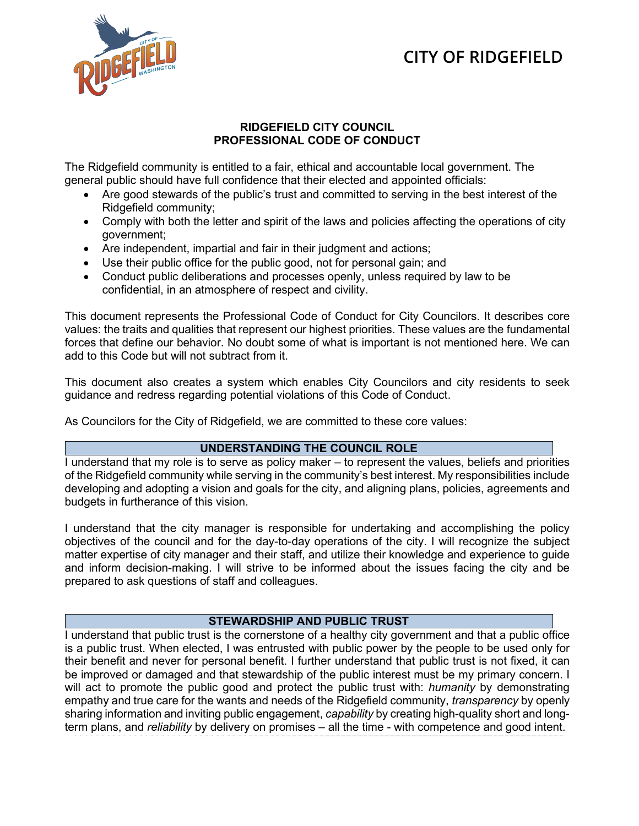

## **RIDGEFIELD CITY COUNCIL PROFESSIONAL CODE OF CONDUCT**

The Ridgefield community is entitled to a fair, ethical and accountable local government. The general public should have full confidence that their elected and appointed officials:

- Are good stewards of the public's trust and committed to serving in the best interest of the Ridgefield community;
- Comply with both the letter and spirit of the laws and policies affecting the operations of city government;
- Are independent, impartial and fair in their judgment and actions;
- Use their public office for the public good, not for personal gain; and
- Conduct public deliberations and processes openly, unless required by law to be confidential, in an atmosphere of respect and civility.

This document represents the Professional Code of Conduct for City Councilors. It describes core values: the traits and qualities that represent our highest priorities. These values are the fundamental forces that define our behavior. No doubt some of what is important is not mentioned here. We can add to this Code but will not subtract from it.

This document also creates a system which enables City Councilors and city residents to seek guidance and redress regarding potential violations of this Code of Conduct.

As Councilors for the City of Ridgefield, we are committed to these core values:

## **UNDERSTANDING THE COUNCIL ROLE**

I understand that my role is to serve as policy maker – to represent the values, beliefs and priorities of the Ridgefield community while serving in the community's best interest. My responsibilities include developing and adopting a vision and goals for the city, and aligning plans, policies, agreements and budgets in furtherance of this vision.

I understand that the city manager is responsible for undertaking and accomplishing the policy objectives of the council and for the day-to-day operations of the city. I will recognize the subject matter expertise of city manager and their staff, and utilize their knowledge and experience to guide and inform decision-making. I will strive to be informed about the issues facing the city and be prepared to ask questions of staff and colleagues.

## **STEWARDSHIP AND PUBLIC TRUST**

I understand that public trust is the cornerstone of a healthy city government and that a public office is a public trust. When elected, I was entrusted with public power by the people to be used only for their benefit and never for personal benefit. I further understand that public trust is not fixed, it can be improved or damaged and that stewardship of the public interest must be my primary concern. I will act to promote the public good and protect the public trust with: *humanity* by demonstrating empathy and true care for the wants and needs of the Ridgefield community, *transparency* by openly sharing information and inviting public engagement, *capability* by creating high-quality short and longterm plans, and *reliability* by delivery on promises – all the time - with competence and good intent.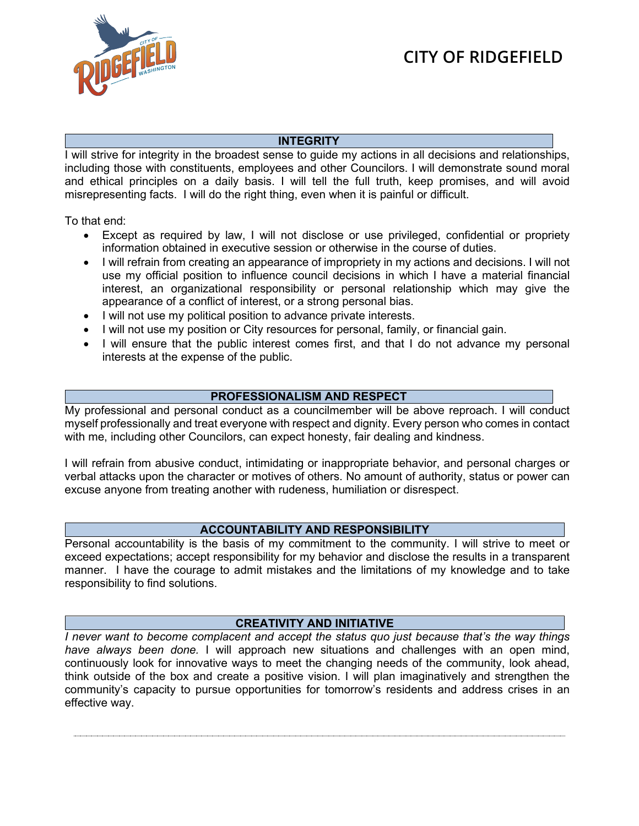

#### **INTEGRITY**

I will strive for integrity in the broadest sense to guide my actions in all decisions and relationships, including those with constituents, employees and other Councilors. I will demonstrate sound moral and ethical principles on a daily basis. I will tell the full truth, keep promises, and will avoid misrepresenting facts. I will do the right thing, even when it is painful or difficult.

To that end:

- Except as required by law, I will not disclose or use privileged, confidential or propriety information obtained in executive session or otherwise in the course of duties.
- I will refrain from creating an appearance of impropriety in my actions and decisions. I will not use my official position to influence council decisions in which I have a material financial interest, an organizational responsibility or personal relationship which may give the appearance of a conflict of interest, or a strong personal bias.
- I will not use my political position to advance private interests.
- I will not use my position or City resources for personal, family, or financial gain.
- I will ensure that the public interest comes first, and that I do not advance my personal interests at the expense of the public.

### **PROFESSIONALISM AND RESPECT**

My professional and personal conduct as a councilmember will be above reproach. I will conduct myself professionally and treat everyone with respect and dignity. Every person who comes in contact with me, including other Councilors, can expect honesty, fair dealing and kindness.

I will refrain from abusive conduct, intimidating or inappropriate behavior, and personal charges or verbal attacks upon the character or motives of others. No amount of authority, status or power can excuse anyone from treating another with rudeness, humiliation or disrespect.

#### **ACCOUNTABILITY AND RESPONSIBILITY**

Personal accountability is the basis of my commitment to the community. I will strive to meet or exceed expectations; accept responsibility for my behavior and disclose the results in a transparent manner. I have the courage to admit mistakes and the limitations of my knowledge and to take responsibility to find solutions.

#### **CREATIVITY AND INITIATIVE**

*I never want to become complacent and accept the status quo just because that's the way things have always been done.* I will approach new situations and challenges with an open mind, continuously look for innovative ways to meet the changing needs of the community, look ahead, think outside of the box and create a positive vision. I will plan imaginatively and strengthen the community's capacity to pursue opportunities for tomorrow's residents and address crises in an effective way.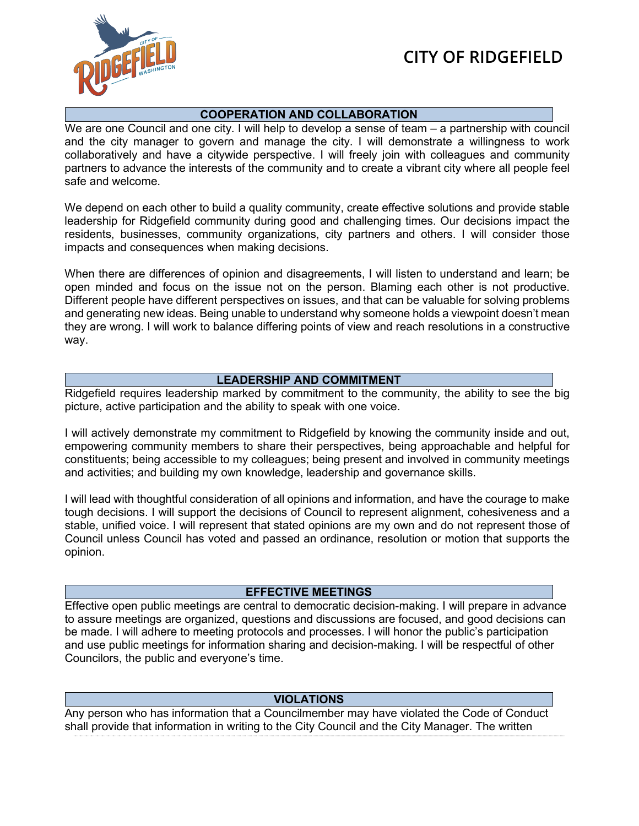

### **COOPERATION AND COLLABORATION**

We are one Council and one city. I will help to develop a sense of team – a partnership with council and the city manager to govern and manage the city. I will demonstrate a willingness to work collaboratively and have a citywide perspective. I will freely join with colleagues and community partners to advance the interests of the community and to create a vibrant city where all people feel safe and welcome.

We depend on each other to build a quality community, create effective solutions and provide stable leadership for Ridgefield community during good and challenging times. Our decisions impact the residents, businesses, community organizations, city partners and others. I will consider those impacts and consequences when making decisions.

When there are differences of opinion and disagreements, I will listen to understand and learn; be open minded and focus on the issue not on the person. Blaming each other is not productive. Different people have different perspectives on issues, and that can be valuable for solving problems and generating new ideas. Being unable to understand why someone holds a viewpoint doesn't mean they are wrong. I will work to balance differing points of view and reach resolutions in a constructive way.

### **LEADERSHIP AND COMMITMENT**

Ridgefield requires leadership marked by commitment to the community, the ability to see the big picture, active participation and the ability to speak with one voice.

I will actively demonstrate my commitment to Ridgefield by knowing the community inside and out, empowering community members to share their perspectives, being approachable and helpful for constituents; being accessible to my colleagues; being present and involved in community meetings and activities; and building my own knowledge, leadership and governance skills.

I will lead with thoughtful consideration of all opinions and information, and have the courage to make tough decisions. I will support the decisions of Council to represent alignment, cohesiveness and a stable, unified voice. I will represent that stated opinions are my own and do not represent those of Council unless Council has voted and passed an ordinance, resolution or motion that supports the opinion.

#### **EFFECTIVE MEETINGS**

Effective open public meetings are central to democratic decision-making. I will prepare in advance to assure meetings are organized, questions and discussions are focused, and good decisions can be made. I will adhere to meeting protocols and processes. I will honor the public's participation and use public meetings for information sharing and decision-making. I will be respectful of other Councilors, the public and everyone's time.

#### **VIOLATIONS**

Any person who has information that a Councilmember may have violated the Code of Conduct shall provide that information in writing to the City Council and the City Manager. The written